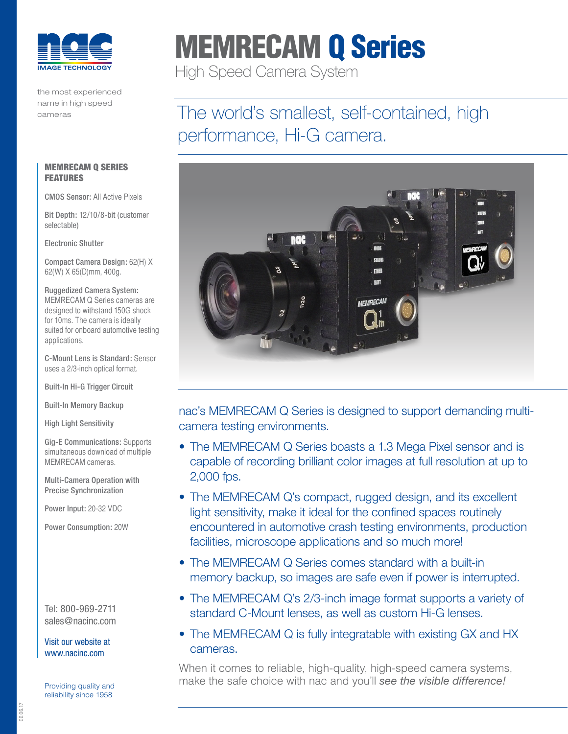

the most experienced name in high speed cameras

# MEMRECAM Q Series

High Speed Camera System

## The world's smallest, self-contained, high performance, Hi-G camera.



nac's MEMRECAM Q Series is designed to support demanding multicamera testing environments.

- The MEMRECAM Q Series boasts a 1.3 Mega Pixel sensor and is capable of recording brilliant color images at full resolution at up to 2,000 fps.
- The MEMRECAM Q's compact, rugged design, and its excellent light sensitivity, make it ideal for the confined spaces routinely encountered in automotive crash testing environments, production facilities, microscope applications and so much more!
- The MEMRECAM Q Series comes standard with a built-in memory backup, so images are safe even if power is interrupted.
- The MEMRECAM Q's 2/3-inch image format supports a variety of standard C-Mount lenses, as well as custom Hi-G lenses.
- The MEMRECAM Q is fully integratable with existing GX and HX cameras.

When it comes to reliable, high-quality, high-speed camera systems, make the safe choice with nac and you'll *see the visible difference!* Providing quality and

#### MEMRECAM Q SERIES **FEATURES**

CMOS Sensor: All Active Pixels

Bit Depth: 12/10/8-bit (customer selectable)

Electronic Shutter

Compact Camera Design: 62(H) X 62(W) X 65(D)mm, 400g.

Ruggedized Camera System: MEMRECAM Q Series cameras are designed to withstand 150G shock for 10ms. The camera is ideally suited for onboard automotive testing applications.

C-Mount Lens is Standard: Sensor uses a 2/3-inch optical format.

Built-In Hi-G Trigger Circuit

Built-In Memory Backup

High Light Sensitivity

Gig-E Communications: Supports simultaneous download of multiple MEMRECAM cameras.

Multi-Camera Operation with Precise Synchronization

Power Input: 20-32 VDC

Power Consumption: 20W

Tel: 800-969-2711 sales@nacinc.com

[Visit our website at](http://www.nac.com)  [www.nacinc.com](http://www.nac.com)

reliability since 1958